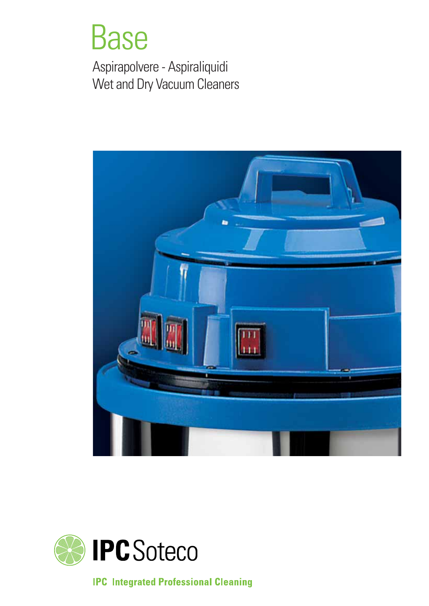## Base

Aspirapolvere - Aspiraliquidi Wet and Dry Vacuum Cleaners





**IPC Integrated Professional Cleaning**